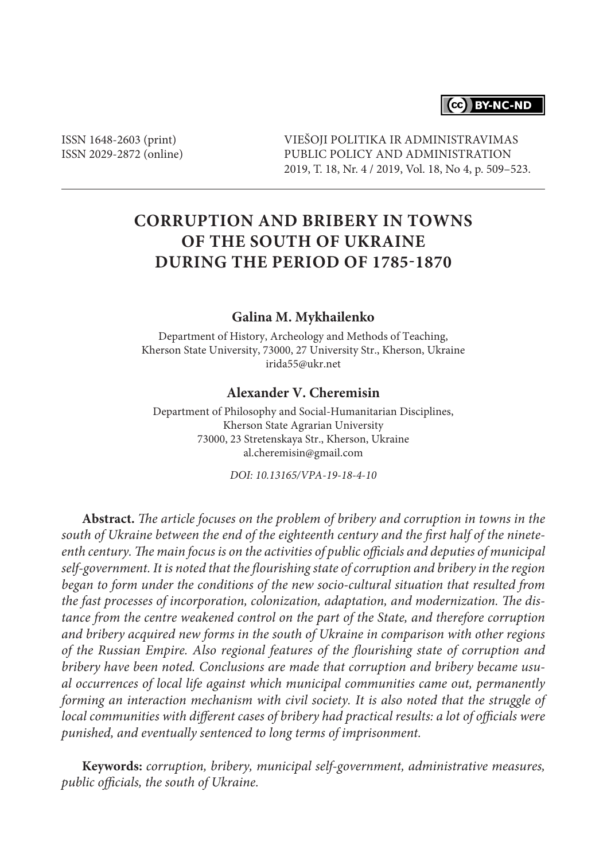

ISSN 1648-2603 (print) ISSN 2029-2872 (online) VIEŠOJI POLITIKA IR ADMINISTRAVIMAS PUBLIC POLICY AND ADMINISTRATION 2019, T. 18, Nr. 4 / 2019, Vol. 18, No 4, p. 509–523.

# **CORRUPTION AND BRIBERY IN TOWNS OF THE SOUTH OF UKRAINE DURING THE PERIOD OF 1785-1870**

#### **Galina M. Mykhailenko**

Department of History, Archeology and Methods of Teaching, Kherson State University, 73000, 27 University Str., Kherson, Ukraine irida55@ukr.net

#### **Alexander V. Сheremisin**

Department of Philosophy and Social-Humanitarian Disciplines, Kherson State Agrarian University 73000, 23 Stretenskaya Str., Kherson, Ukraine al.cheremisin@gmail.com

*DOI: 10.13165/VPA-19-18-4-10*

**Abstract.** *The article focuses on the problem of bribery and corruption in towns in the south of Ukraine between the end of the eighteenth century and the first half of the nineteenth century. The main focus is on the activities of public officials and deputies of municipal self-government. It is noted that the flourishing state of corruption and bribery in the region began to form under the conditions of the new socio-cultural situation that resulted from the fast processes of incorporation, colonization, adaptation, and modernization. The distance from the centre weakened control on the part of the State, and therefore corruption and bribery acquired new forms in the south of Ukraine in comparison with other regions of the Russian Empire. Also regional features of the flourishing state of corruption and bribery have been noted. Conclusions are made that corruption and bribery became usual occurrences of local life against which municipal communities came out, permanently forming an interaction mechanism with civil society. It is also noted that the struggle of local communities with different cases of bribery had practical results: a lot of officials were punished, and eventually sentenced to long terms of imprisonment.*

**Keywords:** *corruption, bribery, municipal self-government, administrative measures, public officials, the south of Ukraine.*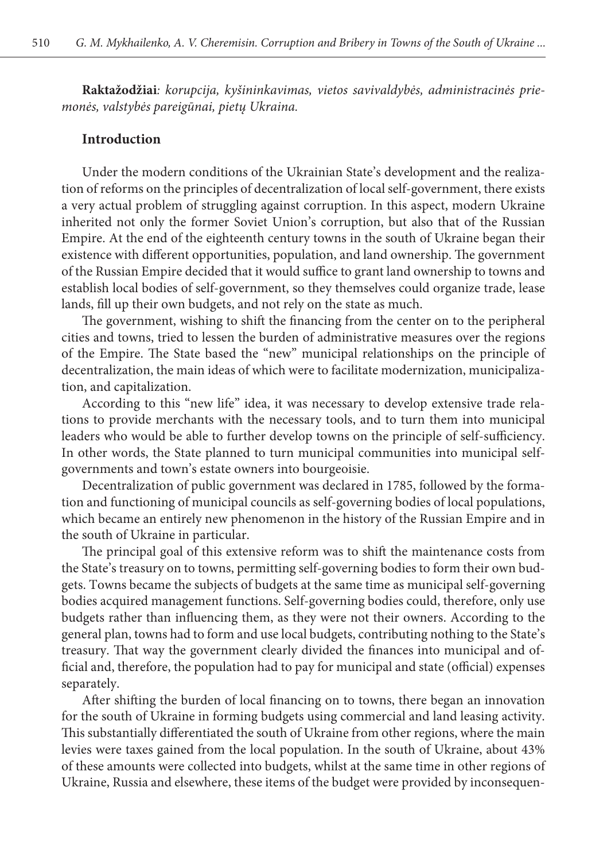**Raktažodžiai***: korupcija, kyšininkavimas, vietos savivaldybės, administracinės priemonės, valstybės pareigūnai, pietų Ukraina.*

#### **Introduction**

Under the modern conditions of the Ukrainian State's development and the realization of reforms on the principles of decentralization of local self-government, there exists a very actual problem of struggling against corruption. In this aspect, modern Ukraine inherited not only the former Soviet Union's corruption, but also that of the Russian Empire. At the end of the eighteenth century towns in the south of Ukraine began their existence with different opportunities, population, and land ownership. The government of the Russian Empire decided that it would suffice to grant land ownership to towns and establish local bodies of self-government, so they themselves could organize trade, lease lands, fill up their own budgets, and not rely on the state as much.

The government, wishing to shift the financing from the center on to the peripheral cities and towns, tried to lessen the burden of administrative measures over the regions of the Empire. The State based the "new" municipal relationships on the principle of decentralization, the main ideas of which were to facilitate modernization, municipalization, and capitalization.

According to this "new life" idea, it was necessary to develop extensive trade relations to provide merchants with the necessary tools, and to turn them into municipal leaders who would be able to further develop towns on the principle of self-sufficiency. In other words, the State planned to turn municipal communities into municipal selfgovernments and town's estate owners into bourgeoisie.

Decentralization of public government was declared in 1785, followed by the formation and functioning of municipal councils as self-governing bodies of local populations, which became an entirely new phenomenon in the history of the Russian Empire and in the south of Ukraine in particular.

The principal goal of this extensive reform was to shift the maintenance costs from the State's treasury on to towns, permitting self-governing bodies to form their own budgets. Towns became the subjects of budgets at the same time as municipal self-governing bodies acquired management functions. Self-governing bodies could, therefore, only use budgets rather than influencing them, as they were not their owners. According to the general plan, towns had to form and use local budgets, contributing nothing to the State's treasury. That way the government clearly divided the finances into municipal and official and, therefore, the population had to pay for municipal and state (official) expenses separately.

After shifting the burden of local financing on to towns, there began an innovation for the south of Ukraine in forming budgets using commercial and land leasing activity. This substantially differentiated the south of Ukraine from other regions, where the main levies were taxes gained from the local population. In the south of Ukraine, about 43% of these amounts were collected into budgets, whilst at the same time in other regions of Ukraine, Russia and elsewhere, these items of the budget were provided by inconsequen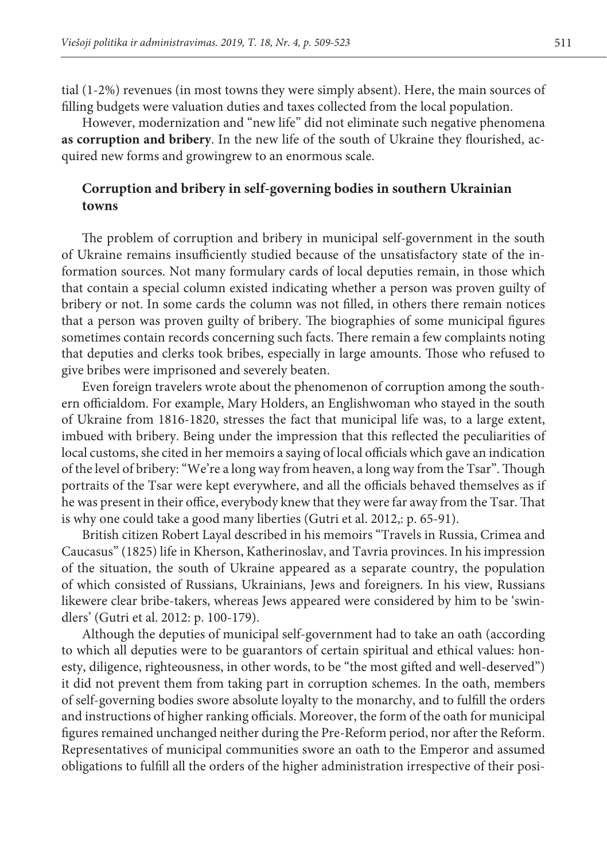tial (1-2%) revenues (in most towns they were simply absent). Here, the main sources of filling budgets were valuation duties and taxes collected from the local population.

However, modernization and "new life" did not eliminate such negative phenomena **as corruption and bribery**. In the new life of the south of Ukraine they flourished, acquired new forms and growingrew to an enormous scale.

### **Corruption and bribery in self-governing bodies in southern Ukrainian towns**

The problem of corruption and bribery in municipal self-government in the south of Ukraine remains insufficiently studied because of the unsatisfactory state of the information sources. Not many formulary cards of local deputies remain, in those which that contain a special column existed indicating whether a person was proven guilty of bribery or not. In some cards the column was not filled, in others there remain notices that a person was proven guilty of bribery. The biographies of some municipal figures sometimes contain records concerning such facts. There remain a few complaints noting that deputies and clerks took bribes, especially in large amounts. Those who refused to give bribes were imprisoned and severely beaten.

Even foreign travelers wrote about the phenomenon of corruption among the southern officialdom. For example, Mary Holders, an Englishwoman who stayed in the south of Ukraine from 1816-1820, stresses the fact that municipal life was, to a large extent, imbued with bribery. Being under the impression that this reflected the peculiarities of local customs, she cited in her memoirs a saying of local officials which gave an indication of the level of bribery: "We're a long way from heaven, a long way from the Tsar". Though portraits of the Tsar were kept everywhere, and all the officials behaved themselves as if he was present in their office, everybody knew that they were far away from the Tsar. That is why one could take a good many liberties (Gutri et al. 2012,: p. 65-91).

British citizen Robert Layal described in his memoirs "Travels in Russia, Crimea and Caucasus" (1825) life in Kherson, Katherinoslav, and Tavria provinces. In his impression of the situation, the south of Ukraine appeared as a separate country, the population of which consisted of Russians, Ukrainians, Jews and foreigners. In his view, Russians likewere clear bribe-takers, whereas Jews appeared were considered by him to be 'swindlers' (Gutri et al. 2012: p. 100-179).

Although the deputies of municipal self-government had to take an oath (according to which all deputies were to be guarantors of certain spiritual and ethical values: honesty, diligence, righteousness, in other words, to be "the most gifted and well-deserved") it did not prevent them from taking part in corruption schemes. In the oath, members of self-governing bodies swore absolute loyalty to the monarchy, and to fulfill the orders and instructions of higher ranking officials. Moreover, the form of the oath for municipal figures remained unchanged neither during the Pre-Reform period, nor after the Reform. Representatives of municipal communities swore an oath to the Emperor and assumed obligations to fulfill all the orders of the higher administration irrespective of their posi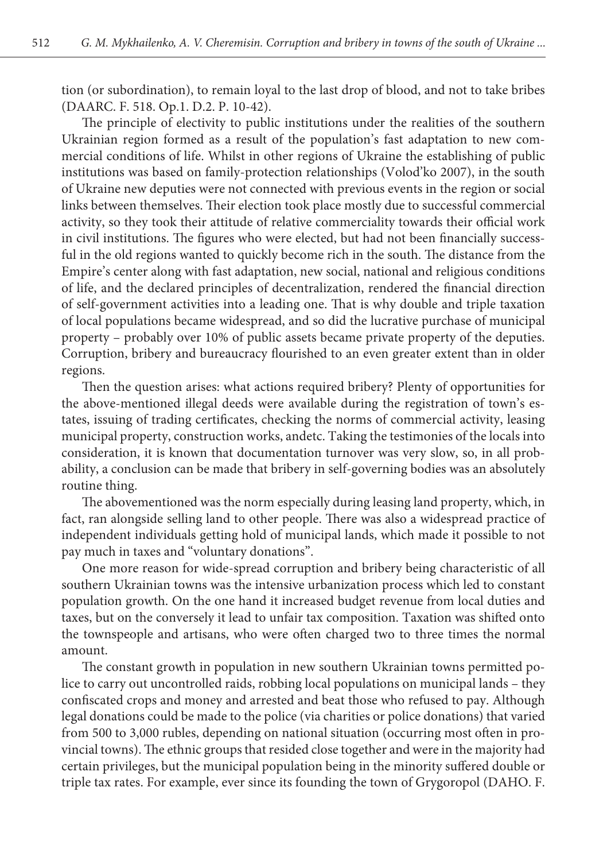tion (or subordination), to remain loyal to the last drop of blood, and not to take bribes (DAARC. F. 518. Op.1. D.2. P. 10-42).

The principle of electivity to public institutions under the realities of the southern Ukrainian region formed as a result of the population's fast adaptation to new commercial conditions of life. Whilst in other regions of Ukraine the establishing of public institutions was based on family-protection relationships (Volod'ko 2007), in the south of Ukraine new deputies were not connected with previous events in the region or social links between themselves. Their election took place mostly due to successful commercial activity, so they took their attitude of relative commerciality towards their official work in civil institutions. The figures who were elected, but had not been financially successful in the old regions wanted to quickly become rich in the south. The distance from the Empire's center along with fast adaptation, new social, national and religious conditions of life, and the declared principles of decentralization, rendered the financial direction of self-government activities into a leading one. That is why double and triple taxation of local populations became widespread, and so did the lucrative purchase of municipal property – probably over 10% of public assets became private property of the deputies. Corruption, bribery and bureaucracy flourished to an even greater extent than in older regions.

Then the question arises: what actions required bribery? Plenty of opportunities for the above-mentioned illegal deeds were available during the registration of town's estates, issuing of trading certificates, checking the norms of commercial activity, leasing municipal property, construction works, andetc. Taking the testimonies of the locals into consideration, it is known that documentation turnover was very slow, so, in all probability, a conclusion can be made that bribery in self-governing bodies was an absolutely routine thing.

The abovementioned was the norm especially during leasing land property, which, in fact, ran alongside selling land to other people. There was also a widespread practice of independent individuals getting hold of municipal lands, which made it possible to not pay much in taxes and "voluntary donations".

One more reason for wide-spread corruption and bribery being characteristic of all southern Ukrainian towns was the intensive urbanization process which led to constant population growth. On the one hand it increased budget revenue from local duties and taxes, but on the conversely it lead to unfair tax composition. Taxation was shifted onto the townspeople and artisans, who were often charged two to three times the normal amount.

The constant growth in population in new southern Ukrainian towns permitted police to carry out uncontrolled raids, robbing local populations on municipal lands – they confiscated crops and money and arrested and beat those who refused to pay. Although legal donations could be made to the police (via charities or police donations) that varied from 500 to 3,000 rubles, depending on national situation (occurring most often in provincial towns). The ethnic groups that resided close together and were in the majority had certain privileges, but the municipal population being in the minority suffered double or triple tax rates. For example, ever since its founding the town of Grygoropol (DAHO. F.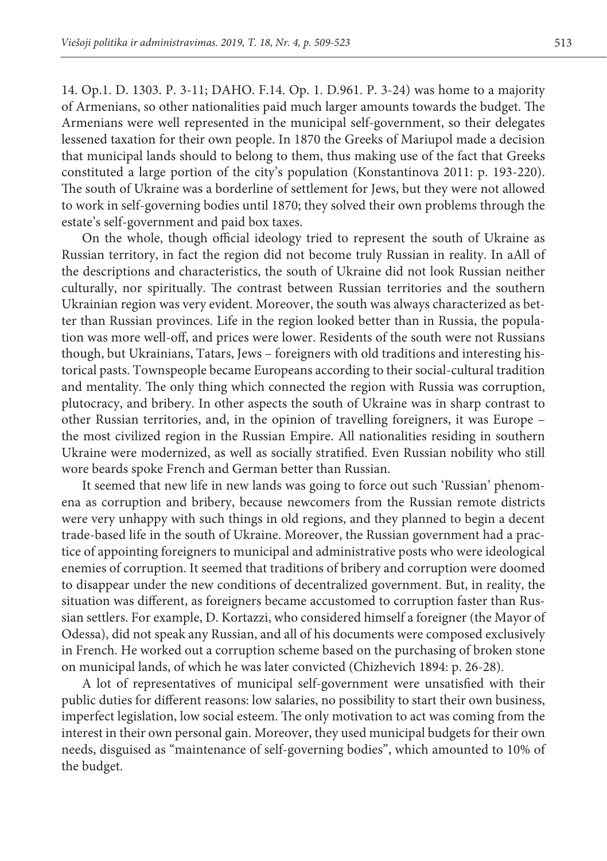14. Op.1. D. 1303. P. 3-11; DAHO. F.14. Op. 1. D.961. P. 3-24) was home to a majority of Armenians, so other nationalities paid much larger amounts towards the budget. The Armenians were well represented in the municipal self-government, so their delegates lessened taxation for their own people. In 1870 the Greeks of Mariupol made a decision that municipal lands should to belong to them, thus making use of the fact that Greeks constituted a large portion of the city's population (Konstantinova 2011: p. 193-220). The south of Ukraine was a borderline of settlement for Jews, but they were not allowed to work in self-governing bodies until 1870; they solved their own problems through the estate's self-government and paid box taxes.

On the whole, though official ideology tried to represent the south of Ukraine as Russian territory, in fact the region did not become truly Russian in reality. In aAll of the descriptions and characteristics, the south of Ukraine did not look Russian neither culturally, nor spiritually. The contrast between Russian territories and the southern Ukrainian region was very evident. Moreover, the south was always characterized as better than Russian provinces. Life in the region looked better than in Russia, the population was more well-off, and prices were lower. Residents of the south were not Russians though, but Ukrainians, Tatars, Jews – foreigners with old traditions and interesting historical pasts. Townspeople became Europeans according to their social-cultural tradition and mentality. The only thing which connected the region with Russia was corruption, plutocracy, and bribery. In other aspects the south of Ukraine was in sharp contrast to other Russian territories, and, in the opinion of travelling foreigners, it was Europe – the most civilized region in the Russian Empire. All nationalities residing in southern Ukraine were modernized, as well as socially stratified. Even Russian nobility who still wore beards spoke French and German better than Russian.

It seemed that new life in new lands was going to force out such 'Russian' phenomena as corruption and bribery, because newcomers from the Russian remote districts were very unhappy with such things in old regions, and they planned to begin a decent trade-based life in the south of Ukraine. Moreover, the Russian government had a practice of appointing foreigners to municipal and administrative posts who were ideological enemies of corruption. It seemed that traditions of bribery and corruption were doomed to disappear under the new conditions of decentralized government. But, in reality, the situation was different, as foreigners became accustomed to corruption faster than Russian settlers. For example, D. Kortazzi, who considered himself a foreigner (the Mayor of Odessa), did not speak any Russian, and all of his documents were composed exclusively in French. He worked out a corruption scheme based on the purchasing of broken stone on municipal lands, of which he was later convicted (Chizhevich 1894: p. 26-28).

A lot of representatives of municipal self-government were unsatisfied with their public duties for different reasons: low salaries, no possibility to start their own business, imperfect legislation, low social esteem. The only motivation to act was coming from the interest in their own personal gain. Moreover, they used municipal budgets for their own needs, disguised as "maintenance of self-governing bodies", which amounted to 10% of the budget.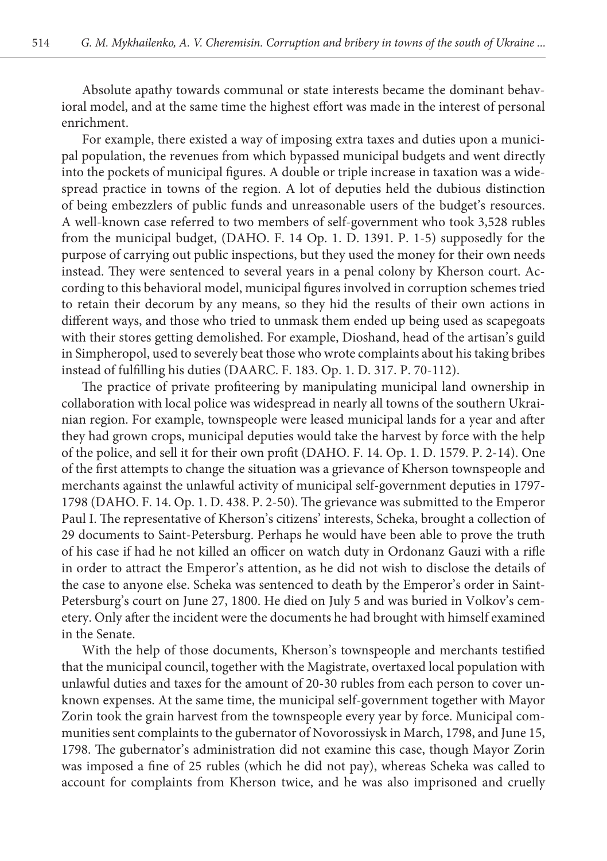Absolute apathy towards communal or state interests became the dominant behavioral model, and at the same time the highest effort was made in the interest of personal enrichment.

For example, there existed a way of imposing extra taxes and duties upon a municipal population, the revenues from which bypassed municipal budgets and went directly into the pockets of municipal figures. A double or triple increase in taxation was a widespread practice in towns of the region. A lot of deputies held the dubious distinction of being embezzlers of public funds and unreasonable users of the budget's resources. A well-known case referred to two members of self-government who took 3,528 rubles from the municipal budget, (DAHO. F. 14 Op. 1. D. 1391. P. 1-5) supposedly for the purpose of carrying out public inspections, but they used the money for their own needs instead. They were sentenced to several years in a penal colony by Kherson court. According to this behavioral model, municipal figures involved in corruption schemes tried to retain their decorum by any means, so they hid the results of their own actions in different ways, and those who tried to unmask them ended up being used as scapegoats with their stores getting demolished. For example, Dioshand, head of the artisan's guild in Simpheropol, used to severely beat those who wrote complaints about his taking bribes instead of fulfilling his duties (DAARC. F. 183. Op. 1. D. 317. P. 70-112).

The practice of private profiteering by manipulating municipal land ownership in collaboration with local police was widespread in nearly all towns of the southern Ukrainian region. For example, townspeople were leased municipal lands for a year and after they had grown crops, municipal deputies would take the harvest by force with the help of the police, and sell it for their own profit (DAHO. F. 14. Op. 1. D. 1579. P. 2-14). One of the first attempts to change the situation was a grievance of Kherson townspeople and merchants against the unlawful activity of municipal self-government deputies in 1797- 1798 (DAHO. F. 14. Op. 1. D. 438. P. 2-50). The grievance was submitted to the Emperor Paul I. The representative of Kherson's citizens' interests, Scheka, brought a collection of 29 documents to Saint-Petersburg. Perhaps he would have been able to prove the truth of his case if had he not killed an officer on watch duty in Ordonanz Gauzi with a rifle in order to attract the Emperor's attention, as he did not wish to disclose the details of the case to anyone else. Scheka was sentenced to death by the Emperor's order in Saint-Petersburg's court on June 27, 1800. He died on July 5 and was buried in Volkov's cemetery. Only after the incident were the documents he had brought with himself examined in the Senate.

With the help of those documents, Kherson's townspeople and merchants testified that the municipal council, together with the Magistrate, overtaxed local population with unlawful duties and taxes for the amount of 20-30 rubles from each person to cover unknown expenses. At the same time, the municipal self-government together with Mayor Zorin took the grain harvest from the townspeople every year by force. Municipal communities sent complaints to the gubernator of Novorossiysk in March, 1798, and June 15, 1798. The gubernator's administration did not examine this case, though Mayor Zorin was imposed a fine of 25 rubles (which he did not pay), whereas Scheka was called to account for complaints from Kherson twice, and he was also imprisoned and cruelly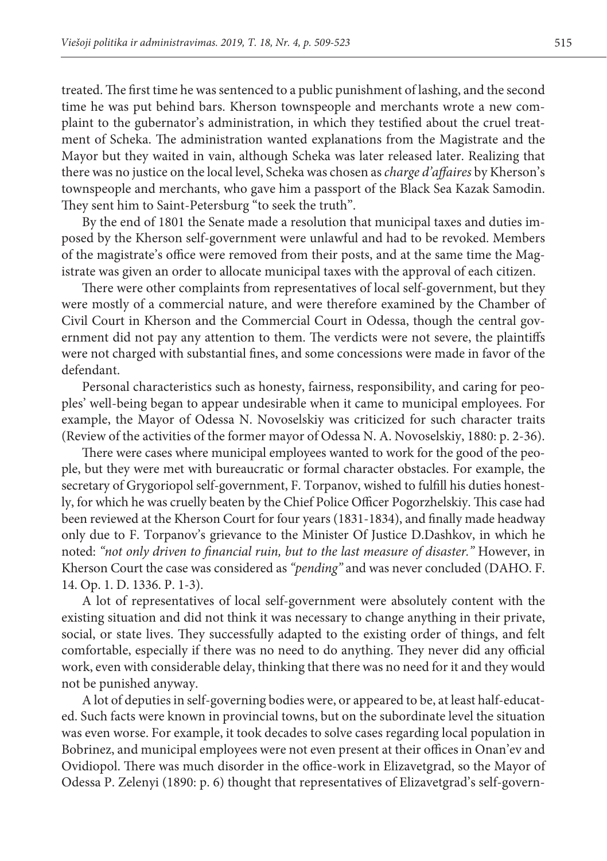treated. The first time he was sentenced to a public punishment of lashing, and the second time he was put behind bars. Kherson townspeople and merchants wrote a new complaint to the gubernator's administration, in which they testified about the cruel treatment of Scheka. The administration wanted explanations from the Magistrate and the Mayor but they waited in vain, although Scheka was later released later. Realizing that there was no justice on the local level, Scheka was chosen as *charge d'affaires* by Kherson's townspeople and merchants, who gave him a passport of the Black Sea Kazak Samodin. They sent him to Saint-Petersburg "to seek the truth".

By the end of 1801 the Senate made a resolution that municipal taxes and duties imposed by the Kherson self-government were unlawful and had to be revoked. Members of the magistrate's office were removed from their posts, and at the same time the Magistrate was given an order to allocate municipal taxes with the approval of each citizen.

There were other complaints from representatives of local self-government, but they were mostly of a commercial nature, and were therefore examined by the Chamber of Civil Court in Kherson and the Commercial Court in Odessa, though the central government did not pay any attention to them. The verdicts were not severe, the plaintiffs were not charged with substantial fines, and some concessions were made in favor of the defendant.

Personal characteristics such as honesty, fairness, responsibility, and caring for peoples' well-being began to appear undesirable when it came to municipal employees. For example, the Mayor of Odessa N. Novoselskiy was criticized for such character traits (Review of the activities of the former mayor of Odessa N. A. Novoselskiy, 1880: p. 2-36).

There were cases where municipal employees wanted to work for the good of the people, but they were met with bureaucratic or formal character obstacles. For example, the secretary of Grygoriopol self-government, F. Torpanov, wished to fulfill his duties honestly, for which he was cruelly beaten by the Chief Police Officer Pogorzhelskiy. This case had been reviewed at the Kherson Court for four years (1831-1834), and finally made headway only due to F. Torpanov's grievance to the Minister Of Justice D.Dashkov, in which he noted: *"not only driven to financial ruin, but to the last measure of disaster."* However, in Kherson Court the case was considered as *"pending"* and was never concluded (DAHO. F. 14. Op. 1. D. 1336. P. 1-3).

A lot of representatives of local self-government were absolutely content with the existing situation and did not think it was necessary to change anything in their private, social, or state lives. They successfully adapted to the existing order of things, and felt comfortable, especially if there was no need to do anything. They never did any official work, even with considerable delay, thinking that there was no need for it and they would not be punished anyway.

A lot of deputies in self-governing bodies were, or appeared to be, at least half-educated. Such facts were known in provincial towns, but on the subordinate level the situation was even worse. For example, it took decades to solve cases regarding local population in Bobrinez, and municipal employees were not even present at their offices in Onan'ev and Ovidiopol. There was much disorder in the office-work in Elizavetgrad, so the Mayor of Odessa P. Zelenyi (1890: p. 6) thought that representatives of Elizavetgrad's self-govern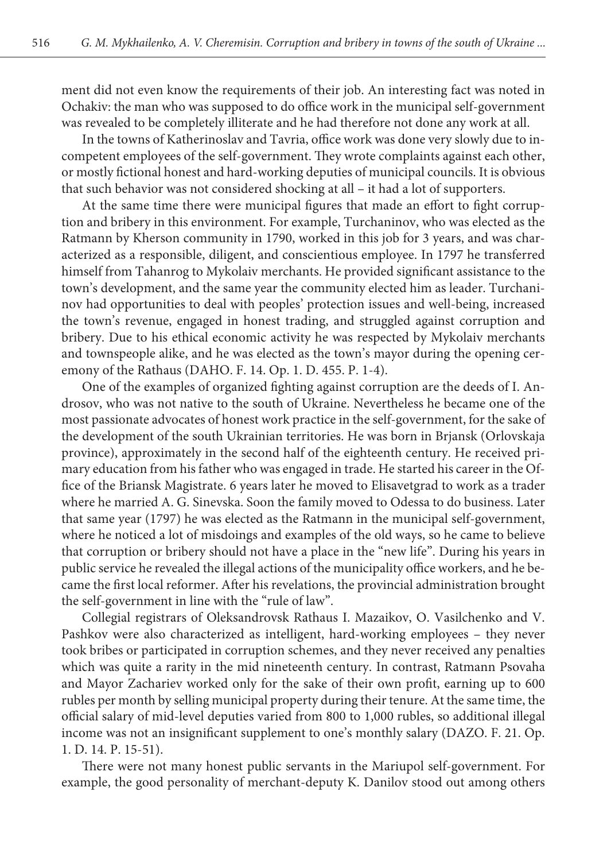ment did not even know the requirements of their job. An interesting fact was noted in Ochakiv: the man who was supposed to do office work in the municipal self-government was revealed to be completely illiterate and he had therefore not done any work at all.

In the towns of Katherinoslav and Tavria, office work was done very slowly due to incompetent employees of the self-government. They wrote complaints against each other, or mostly fictional honest and hard-working deputies of municipal councils. It is obvious that such behavior was not considered shocking at all – it had a lot of supporters.

At the same time there were municipal figures that made an effort to fight corruption and bribery in this environment. For example, Turchaninov, who was elected as the Ratmann by Kherson community in 1790, worked in this job for 3 years, and was characterized as a responsible, diligent, and conscientious employee. In 1797 he transferred himself from Tahanrog to Mykolaiv merchants. He provided significant assistance to the town's development, and the same year the community elected him as leader. Turchaninov had opportunities to deal with peoples' protection issues and well-being, increased the town's revenue, engaged in honest trading, and struggled against corruption and bribery. Due to his ethical economic activity he was respected by Mykolaiv merchants and townspeople alike, and he was elected as the town's mayor during the opening ceremony of the Rathaus (DAHO. F. 14. Op. 1. D. 455. P. 1-4).

One of the examples of organized fighting against corruption are the deeds of I. Androsov, who was not native to the south of Ukraine. Nevertheless he became one of the most passionate advocates of honest work practice in the self-government, for the sake of the development of the south Ukrainian territories. He was born in Brjansk (Orlovskaja province), approximately in the second half of the eighteenth century. He received primary education from his father who was engaged in trade. He started his career in the Office of the Briansk Magistrate. 6 years later he moved to Elisavetgrad to work as a trader where he married A. G. Sinevska. Soon the family moved to Odessa to do business. Later that same year (1797) he was elected as the Ratmann in the municipal self-government, where he noticed a lot of misdoings and examples of the old ways, so he came to believe that corruption or bribery should not have a place in the "new life". During his years in public service he revealed the illegal actions of the municipality office workers, and he became the first local reformer. After his revelations, the provincial administration brought the self-government in line with the "rule of law".

Collegial registrars of Oleksandrovsk Rathaus I. Mazaikov, O. Vasilchenko and V. Pashkov were also characterized as intelligent, hard-working employees – they never took bribes or participated in corruption schemes, and they never received any penalties which was quite a rarity in the mid nineteenth century. In contrast, Ratmann Psovaha and Mayor Zachariev worked only for the sake of their own profit, earning up to 600 rubles per month by selling municipal property during their tenure. At the same time, the official salary of mid-level deputies varied from 800 to 1,000 rubles, so additional illegal income was not an insignificant supplement to one's monthly salary (DAZO. F. 21. Op. 1. D. 14. P. 15-51).

There were not many honest public servants in the Mariupol self-government. For example, the good personality of merchant-deputy K. Danilov stood out among others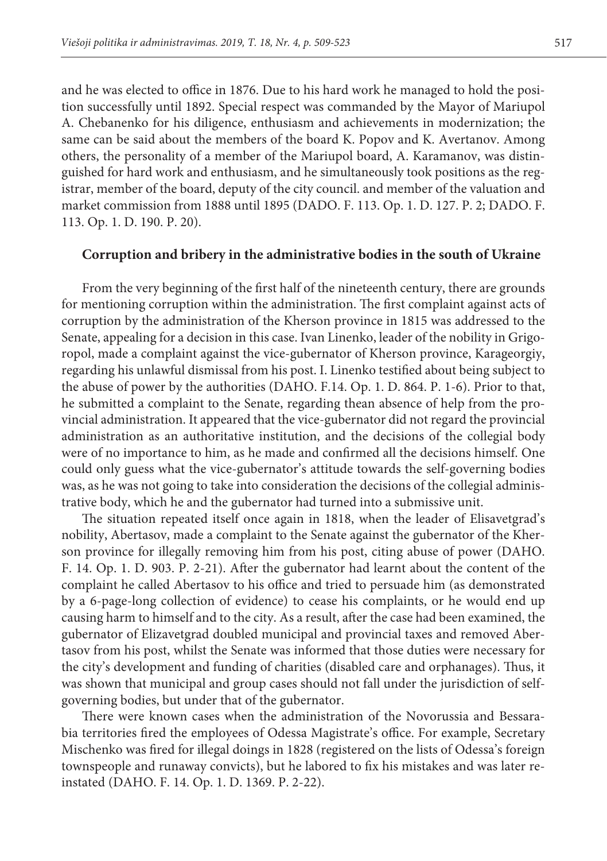and he was elected to office in 1876. Due to his hard work he managed to hold the position successfully until 1892. Special respect was commanded by the Mayor of Mariupol A. Chebanenko for his diligence, enthusiasm and achievements in modernization; the same can be said about the members of the board K. Popov and K. Avertanov. Among others, the personality of a member of the Mariupol board, A. Karamanov, was distinguished for hard work and enthusiasm, and he simultaneously took positions as the registrar, member of the board, deputy of the city council. and member of the valuation and market commission from 1888 until 1895 (DADO. F. 113. Op. 1. D. 127. P. 2; DADO. F. 113. Op. 1. D. 190. P. 20).

#### **Corruption and bribery in the administrative bodies in the south of Ukraine**

From the very beginning of the first half of the nineteenth century, there are grounds for mentioning corruption within the administration. The first complaint against acts of corruption by the administration of the Kherson province in 1815 was addressed to the Senate, appealing for a decision in this case. Ivan Linenko, leader of the nobility in Grigoropol, made a complaint against the vice-gubernator of Kherson province, Karageorgiy, regarding his unlawful dismissal from his post. I. Linenko testified about being subject to the abuse of power by the authorities (DAHO. F.14. Op. 1. D. 864. P. 1-6). Prior to that, he submitted a complaint to the Senate, regarding thean absence of help from the provincial administration. It appeared that the vice-gubernator did not regard the provincial administration as an authoritative institution, and the decisions of the collegial body were of no importance to him, as he made and confirmed all the decisions himself. One could only guess what the vice-gubernator's attitude towards the self-governing bodies was, as he was not going to take into consideration the decisions of the collegial administrative body, which he and the gubernator had turned into a submissive unit.

The situation repeated itself once again in 1818, when the leader of Elisavetgrad's nobility, Abertasov, made a complaint to the Senate against the gubernator of the Kherson province for illegally removing him from his post, citing abuse of power (DAHO. F. 14. Op. 1. D. 903. P. 2-21). After the gubernator had learnt about the content of the complaint he called Abertasov to his office and tried to persuade him (as demonstrated by a 6-page-long collection of evidence) to cease his complaints, or he would end up causing harm to himself and to the city. As a result, after the case had been examined, the gubernator of Elizavetgrad doubled municipal and provincial taxes and removed Abertasov from his post, whilst the Senate was informed that those duties were necessary for the city's development and funding of charities (disabled care and orphanages). Thus, it was shown that municipal and group cases should not fall under the jurisdiction of selfgoverning bodies, but under that of the gubernator.

There were known cases when the administration of the Novorussia and Bessarabia territories fired the employees of Odessa Magistrate's office. For example, Secretary Mischenko was fired for illegal doings in 1828 (registered on the lists of Odessa's foreign townspeople and runaway convicts), but he labored to fix his mistakes and was later reinstated (DAHO. F. 14. Op. 1. D. 1369. P. 2-22).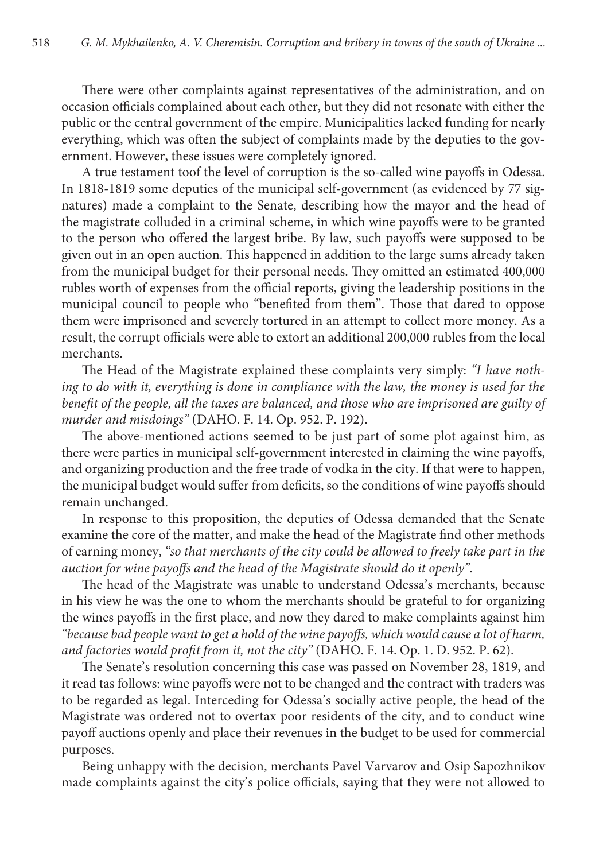There were other complaints against representatives of the administration, and on occasion officials complained about each other, but they did not resonate with either the public or the central government of the empire. Municipalities lacked funding for nearly everything, which was often the subject of complaints made by the deputies to the government. However, these issues were completely ignored.

A true testament toof the level of corruption is the so-called wine payoffs in Odessa. In 1818-1819 some deputies of the municipal self-government (as evidenced by 77 signatures) made a complaint to the Senate, describing how the mayor and the head of the magistrate colluded in a criminal scheme, in which wine payoffs were to be granted to the person who offered the largest bribe. By law, such payoffs were supposed to be given out in an open auction. This happened in addition to the large sums already taken from the municipal budget for their personal needs. They omitted an estimated 400,000 rubles worth of expenses from the official reports, giving the leadership positions in the municipal council to people who "benefited from them". Those that dared to oppose them were imprisoned and severely tortured in an attempt to collect more money. As a result, the corrupt officials were able to extort an additional 200,000 rubles from the local merchants.

The Head of the Magistrate explained these complaints very simply: *"I have nothing to do with it, everything is done in compliance with the law, the money is used for the benefit of the people, all the taxes are balanced, and those who are imprisoned are guilty of murder and misdoings"* (DAHO. F. 14. Op. 952. P. 192).

The above-mentioned actions seemed to be just part of some plot against him, as there were parties in municipal self-government interested in claiming the wine payoffs, and organizing production and the free trade of vodka in the city. If that were to happen, the municipal budget would suffer from deficits, so the conditions of wine payoffs should remain unchanged.

In response to this proposition, the deputies of Odessa demanded that the Senate examine the core of the matter, and make the head of the Magistrate find other methods of earning money, *"so that merchants of the city could be allowed to freely take part in the auction for wine payoffs and the head of the Magistrate should do it openly"*.

The head of the Magistrate was unable to understand Odessa's merchants, because in his view he was the one to whom the merchants should be grateful to for organizing the wines payoffs in the first place, and now they dared to make complaints against him *"because bad people want to get a hold of the wine payoffs, which would cause a lot of harm, and factories would profit from it, not the city"* (DAHO. F. 14. Op. 1. D. 952. P. 62).

The Senate's resolution concerning this case was passed on November 28, 1819, and it read tas follows: wine payoffs were not to be changed and the contract with traders was to be regarded as legal. Interceding for Odessa's socially active people, the head of the Magistrate was ordered not to overtax poor residents of the city, and to conduct wine payoff auctions openly and place their revenues in the budget to be used for commercial purposes.

Being unhappy with the decision, merchants Pavel Varvarov and Osip Sapozhnikov made complaints against the city's police officials, saying that they were not allowed to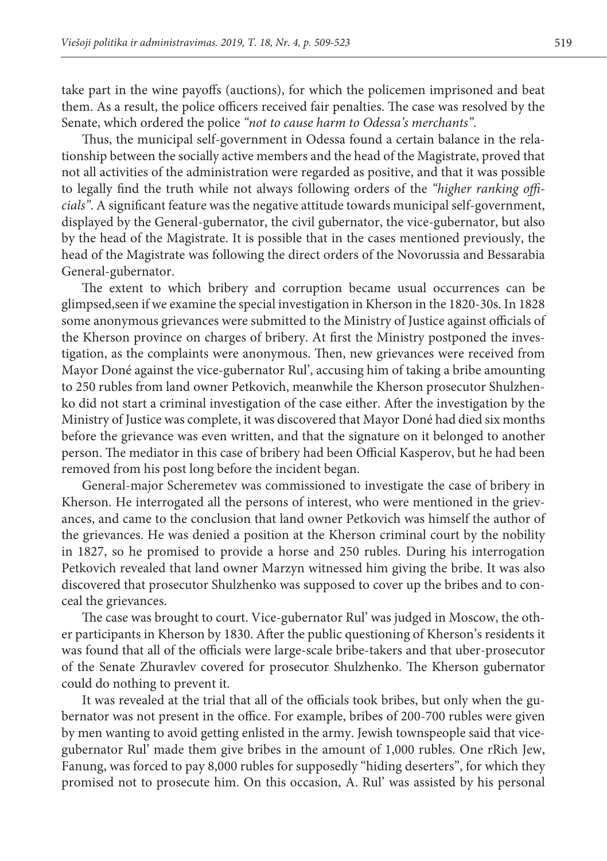take part in the wine payoffs (auctions), for which the policemen imprisoned and beat them. As a result, the police officers received fair penalties. The case was resolved by the Senate, which ordered the police *"not to cause harm to Odessa's merchants"*.

Thus, the municipal self-government in Odessa found a certain balance in the relationship between the socially active members and the head of the Magistrate, proved that not all activities of the administration were regarded as positive, and that it was possible to legally find the truth while not always following orders of the *"higher ranking officials"*. A significant feature was the negative attitude towards municipal self-government, displayed by the General-gubernator, the civil gubernator, the vice-gubernator, but also by the head of the Magistrate. It is possible that in the cases mentioned previously, the head of the Magistrate was following the direct orders of the Novorussia and Bessarabia General-gubernator.

The extent to which bribery and corruption became usual occurrences can be glimpsed,seen if we examine the special investigation in Kherson in the 1820-30s. In 1828 some anonymous grievances were submitted to the Ministry of Justice against officials of the Kherson province on charges of bribery. At first the Ministry postponed the investigation, as the complaints were anonymous. Then, new grievances were received from Mayor Doné against the vice-gubernator Rul', accusing him of taking a bribe amounting to 250 rubles from land owner Petkovich, meanwhile the Kherson prosecutor Shulzhenko did not start a criminal investigation of the case either. After the investigation by the Ministry of Justice was complete, it was discovered that Mayor Doné had died six months before the grievance was even written, and that the signature on it belonged to another person. The mediator in this case of bribery had been Official Kasperov, but he had been removed from his post long before the incident began.

General-major Scheremetev was commissioned to investigate the case of bribery in Kherson. He interrogated all the persons of interest, who were mentioned in the grievances, and came to the conclusion that land owner Petkovich was himself the author of the grievances. He was denied a position at the Kherson criminal court by the nobility in 1827, so he promised to provide a horse and 250 rubles. During his interrogation Petkovich revealed that land owner Marzyn witnessed him giving the bribe. It was also discovered that prosecutor Shulzhenko was supposed to cover up the bribes and to conceal the grievances.

The case was brought to court. Vice-gubernator Rul' was judged in Moscow, the other participants in Kherson by 1830. After the public questioning of Kherson's residents it was found that all of the officials were large-scale bribe-takers and that uber-prosecutor of the Senate Zhuravlev covered for prosecutor Shulzhenko. The Kherson gubernator could do nothing to prevent it.

It was revealed at the trial that all of the officials took bribes, but only when the gubernator was not present in the office. For example, bribes of 200-700 rubles were given by men wanting to avoid getting enlisted in the army. Jewish townspeople said that vicegubernator Rul' made them give bribes in the amount of 1,000 rubles. One rRich Jew, Fanung, was forced to pay 8,000 rubles for supposedly "hiding deserters", for which they promised not to prosecute him. On this occasion, A. Rul' was assisted by his personal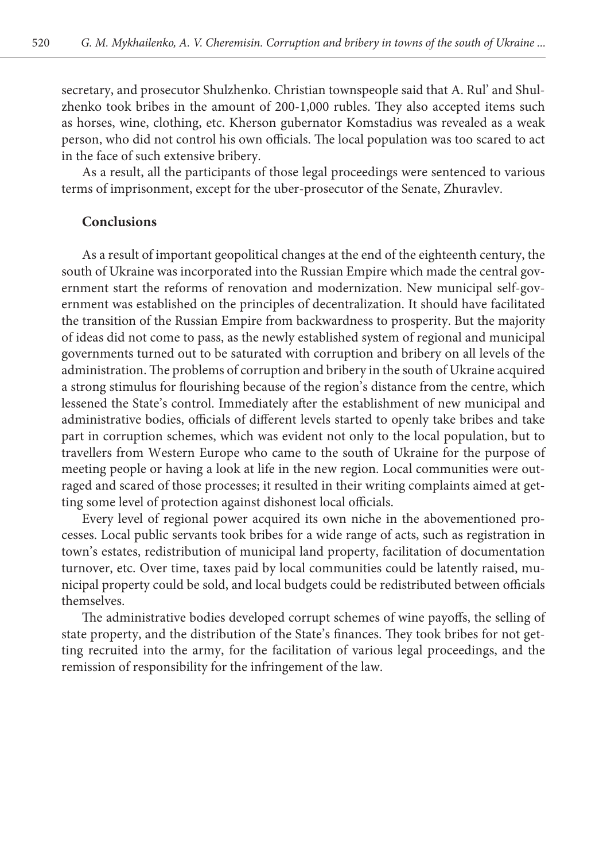secretary, and prosecutor Shulzhenko. Christian townspeople said that A. Rul' and Shulzhenko took bribes in the amount of 200-1,000 rubles. They also accepted items such as horses, wine, clothing, etc. Kherson gubernator Komstadius was revealed as a weak person, who did not control his own officials. The local population was too scared to act in the face of such extensive bribery.

As a result, all the participants of those legal proceedings were sentenced to various terms of imprisonment, except for the uber-prosecutor of the Senate, Zhuravlev.

#### **Conclusions**

As a result of important geopolitical changes at the end of the eighteenth century, the south of Ukraine was incorporated into the Russian Empire which made the central government start the reforms of renovation and modernization. New municipal self-government was established on the principles of decentralization. It should have facilitated the transition of the Russian Empire from backwardness to prosperity. But the majority of ideas did not come to pass, as the newly established system of regional and municipal governments turned out to be saturated with corruption and bribery on all levels of the administration. The problems of corruption and bribery in the south of Ukraine acquired a strong stimulus for flourishing because of the region's distance from the centre, which lessened the State's control. Immediately after the establishment of new municipal and administrative bodies, officials of different levels started to openly take bribes and take part in corruption schemes, which was evident not only to the local population, but to travellers from Western Europe who came to the south of Ukraine for the purpose of meeting people or having a look at life in the new region. Local communities were outraged and scared of those processes; it resulted in their writing complaints aimed at getting some level of protection against dishonest local officials.

Every level of regional power acquired its own niche in the abovementioned processes. Local public servants took bribes for a wide range of acts, such as registration in town's estates, redistribution of municipal land property, facilitation of documentation turnover, etc. Over time, taxes paid by local communities could be latently raised, municipal property could be sold, and local budgets could be redistributed between officials themselves.

The administrative bodies developed corrupt schemes of wine payoffs, the selling of state property, and the distribution of the State's finances. They took bribes for not getting recruited into the army, for the facilitation of various legal proceedings, and the remission of responsibility for the infringement of the law.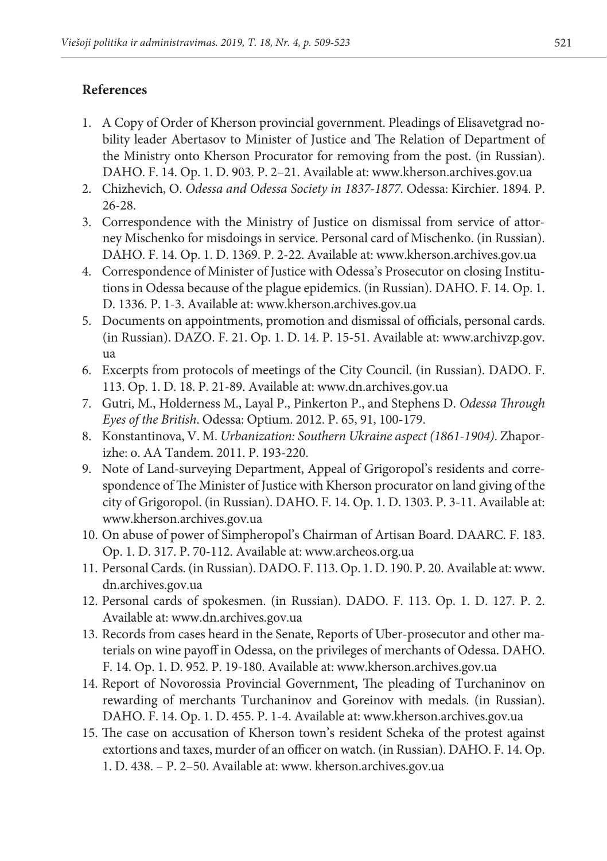### **References**

- 1. A Copy of Order of Kherson provincial government. Pleadings of Elisavetgrad nobility leader Abertasov to Minister of Justice and The Relation of Department of the Ministry onto Kherson Procurator for removing from the post. (in Russian). DAHO. F. 14. Оp. 1. D. 903. P. 2–21. Available at: [www.kherson.archives.gov.ua](http://www.kherson.archives.gov.ua)
- 2. Chizhevich, O. *Odessa and Odessa Society in 1837-1877*. Odessa: Kirchier. 1894. P. 26-28.
- 3. Correspondence with the Ministry of Justice on dismissal from service of attorney Mischenko for misdoings in service. Personal card of Mischenko. (in Russian). DAHO. F. 14. Оp. 1. D. 1369. P. 2-22. Available at: [www.kherson.archives.gov.ua](http://www.kherson.archives.gov.ua)
- 4. Correspondence of Minister of Justice with Odessa's Prosecutor on closing Institutions in Odessa because of the plague epidemics. (in Russian). DAHO. F. 14. Оp. 1. D. 1336. P. 1-3. Available at: www.kherson.archives.gov.ua
- 5. Documents on appointments, promotion and dismissal of officials, personal cards. (in Russian). DAZO. F. 21. Оp. 1. D. 14. P. 15-51. Available at: [www.archivzp.gov.](http://www.archivzp.gov.ua) [ua](http://www.archivzp.gov.ua)
- 6. Excerpts from protocols of meetings of the City Council. (in Russian). DADO. F. 113. Оp. 1. D. 18. P. 21-89. Available at: [www.dn.archives.gov.ua](http://www.dn.archives.gov.ua)
- 7. Gutri, M., Holderness M., Layal P., Pinkerton P., and Stephens D. *Odessa Through Eyes of the British*. Odessa: Optium. 2012. P. 65, 91, 100-179.
- 8. Konstantinova, V. M. *Urbanization: Southern Ukraine aspect (1861-1904)*. Zhaporizhe: o. AA Tandem. 2011. P. 193-220.
- 9. Note of Land-surveying Department, Appeal of Grigoropol's residents and correspondence of The Minister of Justice with Kherson procurator on land giving of the city of Grigoropol. (in Russian). DAHO. F. 14. Оp. 1. D. 1303. P. 3-11. Available at: [www.kherson.archives.gov.ua](http://www.kherson.archives.gov.ua)
- 10. On abuse of power of Simpheropol's Chairman of Artisan Board. DAARC. F. 183. Оp. 1. D. 317. P. 70-112. Available at: [www.archeos.org.ua](http://www.archeos.org.ua)
- 11. Personal Cards. (in Russian). DADO. F. 113. Оp. 1. D. 190. P. 20. Available at: [www.](http://www.dn.archives.gov.ua) [dn.archives.gov.ua](http://www.dn.archives.gov.ua)
- 12. Personal cards of spokesmen. (in Russian). DADO. F. 113. Оp. 1. D. 127. P. 2. Available at: [www.dn.archives.gov.ua](http://www.dn.archives.gov.ua)
- 13. Records from cases heard in the Senate, Reports of Uber-prosecutor and other materials on wine payoff in Odessa, on the privileges of merchants of Odessa. DAHO. F. 14. Оp. 1. D. 952. P. 19-180. Available at: [www.kherson.archives.gov.ua](http://www.kherson.archives.gov.ua)
- 14. Report of Novorossia Provincial Government, The pleading of Turchaninov on rewarding of merchants Turchaninov and Goreinov with medals. (in Russian). DAHO. F. 14. Оp. 1. D. 455. P. 1-4. Available at: www.kherson.archives.gov.ua
- 15. The case on accusation of Kherson town's resident Scheka of the protest against extortions and taxes, murder of an officer on watch. (in Russian). DAHO. F. 14. Оp. 1. D. 438. – P. 2–50. Available at: www. kherson.archives.gov.ua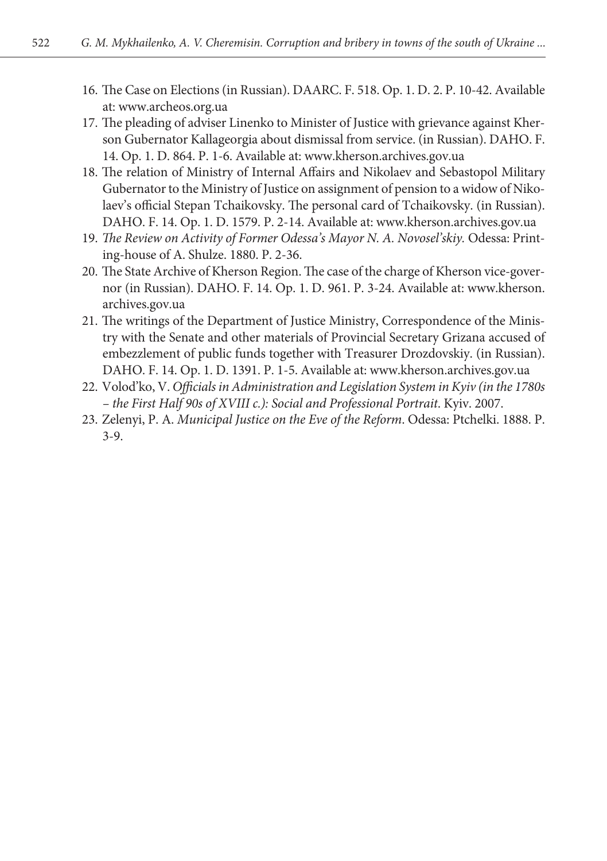- 16. The Case on Elections (in Russian). DAARC. F. 518. Оp. 1. D. 2. P. 10-42. Available at: [www.archeos.org.ua](http://www.archeos.org.ua)
- 17. The pleading of adviser Linenko to Minister of Justice with grievance against Kherson Gubernator Kallageorgia about dismissal from service. (in Russian). DAHO. F. 14. Оp. 1. D. 864. P. 1-6. Available at: [www.kherson.archives.gov.ua](http://www.kherson.archives.gov.ua)
- 18. The relation of Ministry of Internal Affairs and Nikolaev and Sebastopol Military Gubernator to the Ministry of Justice on assignment of pension to a widow of Nikolaev's official Stepan Tchaikovsky. The personal card of Tchaikovsky. (in Russian). DAHO. F. 14. Оp. 1. D. 1579. P. 2-14. Available at: www.kherson.archives.gov.ua
- 19. *The Review on Activity of Former Odessa's Mayor N. A. Novosel'skiy.* Odessa: Printing-house of A. Shulze. 1880. P. 2-36.
- 20. The State Archive of Kherson Region. The case of the charge of Kherson vice-governor (in Russian). DAHO. F. 14. Оp. 1. D. 961. P. 3-24. Available at: [www.kherson.](http://www.kherson.archives.gov.ua) [archives.gov.ua](http://www.kherson.archives.gov.ua)
- 21. The writings of the Department of Justice Ministry, Correspondence of the Ministry with the Senate and other materials of Provincial Secretary Grizana accused of embezzlement of public funds together with Treasurer Drozdovskiy. (in Russian). DAHO. F. 14. Оp. 1. D. 1391. P. 1-5. Available at: www.kherson.archives.gov.ua
- 22. Volod'ko, V. *Officialsin Administration and Legislation System in Kyiv (in the 1780s – the First Half 90s of XVIII c.): Social and Professional Portrait*. Kyiv. 2007.
- 23. Zelenyi, P. A. *Municipal Justice on the Eve of the Reform*. Odessa: Ptchelki. 1888. P. 3-9.